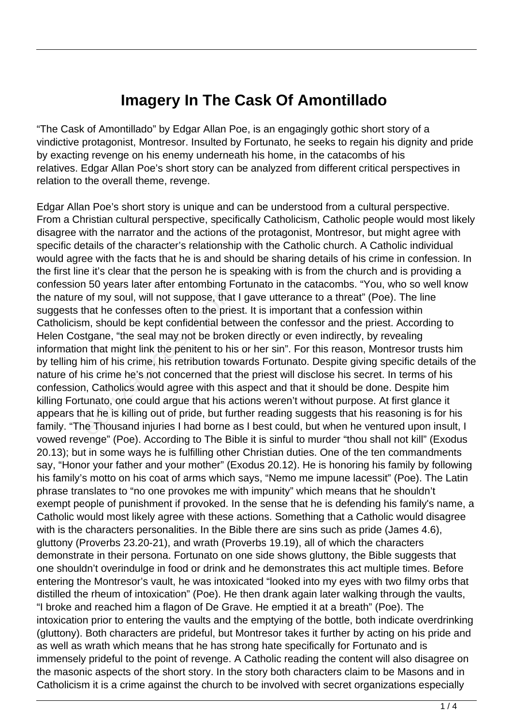## **Imagery In The Cask Of Amontillado**

"The Cask of Amontillado" by Edgar Allan Poe, is an engagingly gothic short story of a vindictive protagonist, Montresor. Insulted by Fortunato, he seeks to regain his dignity and pride by exacting revenge on his enemy underneath his home, in the catacombs of his relatives. Edgar Allan Poe's short story can be analyzed from different critical perspectives in relation to the overall theme, revenge.

Edgar Allan Poe's short story is unique and can be understood from a cultural perspective. From a Christian cultural perspective, specifically Catholicism, Catholic people would most likely disagree with the narrator and the actions of the protagonist, Montresor, but might agree with specific details of the character's relationship with the Catholic church. A Catholic individual would agree with the facts that he is and should be sharing details of his crime in confession. In the first line it's clear that the person he is speaking with is from the church and is providing a confession 50 years later after entombing Fortunato in the catacombs. "You, who so well know the nature of my soul, will not suppose, that I gave utterance to a threat" (Poe). The line suggests that he confesses often to the priest. It is important that a confession within Catholicism, should be kept confidential between the confessor and the priest. According to Helen Costgane, "the seal may not be broken directly or even indirectly, by revealing information that might link the penitent to his or her sin". For this reason, Montresor trusts him by telling him of his crime, his retribution towards Fortunato. Despite giving specific details of the nature of his crime he's not concerned that the priest will disclose his secret. In terms of his confession, Catholics would agree with this aspect and that it should be done. Despite him killing Fortunato, one could argue that his actions weren't without purpose. At first glance it appears that he is killing out of pride, but further reading suggests that his reasoning is for his family. "The Thousand injuries I had borne as I best could, but when he ventured upon insult, I vowed revenge" (Poe). According to The Bible it is sinful to murder "thou shall not kill" (Exodus 20.13); but in some ways he is fulfilling other Christian duties. One of the ten commandments say, "Honor your father and your mother" (Exodus 20.12). He is honoring his family by following his family's motto on his coat of arms which says, "Nemo me impune lacessit" (Poe). The Latin phrase translates to "no one provokes me with impunity" which means that he shouldn't exempt people of punishment if provoked. In the sense that he is defending his family's name, a Catholic would most likely agree with these actions. Something that a Catholic would disagree with is the characters personalities. In the Bible there are sins such as pride (James 4.6), gluttony (Proverbs 23.20-21), and wrath (Proverbs 19.19), all of which the characters demonstrate in their persona. Fortunato on one side shows gluttony, the Bible suggests that one shouldn't overindulge in food or drink and he demonstrates this act multiple times. Before entering the Montresor's vault, he was intoxicated "looked into my eyes with two filmy orbs that distilled the rheum of intoxication" (Poe). He then drank again later walking through the vaults, "I broke and reached him a flagon of De Grave. He emptied it at a breath" (Poe). The intoxication prior to entering the vaults and the emptying of the bottle, both indicate overdrinking (gluttony). Both characters are prideful, but Montresor takes it further by acting on his pride and as well as wrath which means that he has strong hate specifically for Fortunato and is immensely prideful to the point of revenge. A Catholic reading the content will also disagree on the masonic aspects of the short story. In the story both characters claim to be Masons and in Catholicism it is a crime against the church to be involved with secret organizations especially of my soul, will not suppose, that<br>hat he confesses often to the pries<br>m, should be kept confidential bet<br>tgane, "the seal may not be broke<br>n that might link the penitent to his<br>im of his crime, his retribution tow<br>is crim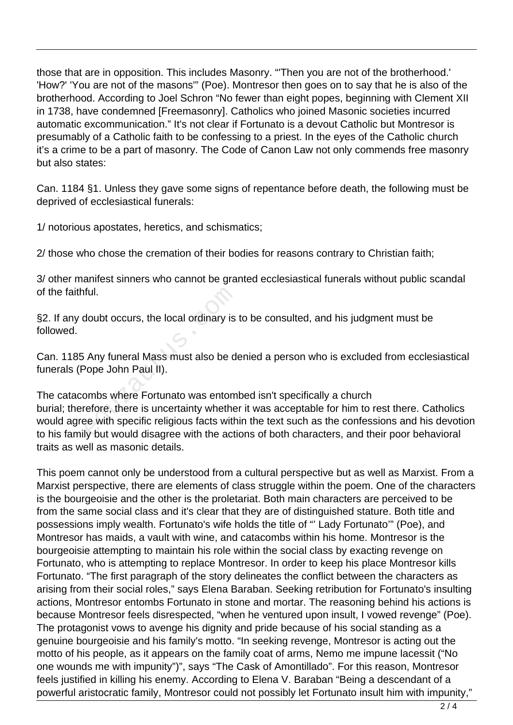those that are in opposition. This includes Masonry. "'Then you are not of the brotherhood.' 'How?' 'You are not of the masons'" (Poe). Montresor then goes on to say that he is also of the brotherhood. According to Joel Schron "No fewer than eight popes, beginning with Clement XII in 1738, have condemned [Freemasonry]. Catholics who joined Masonic societies incurred automatic excommunication." It's not clear if Fortunato is a devout Catholic but Montresor is presumably of a Catholic faith to be confessing to a priest. In the eyes of the Catholic church it's a crime to be a part of masonry. The Code of Canon Law not only commends free masonry but also states:

Can. 1184 §1. Unless they gave some signs of repentance before death, the following must be deprived of ecclesiastical funerals:

1/ notorious apostates, heretics, and schismatics;

2/ those who chose the cremation of their bodies for reasons contrary to Christian faith;

3/ other manifest sinners who cannot be granted ecclesiastical funerals without public scandal of the faithful.

§2. If any doubt occurs, the local ordinary is to be consulted, and his judgment must be followed.

Can. 1185 Any funeral Mass must also be denied a person who is excluded from ecclesiastical funerals (Pope John Paul II).

The catacombs where Fortunato was entombed isn't specifically a church burial; therefore, there is uncertainty whether it was acceptable for him to rest there. Catholics would agree with specific religious facts within the text such as the confessions and his devotion to his family but would disagree with the actions of both characters, and their poor behavioral traits as well as masonic details. ful.<br>
doubt occurs, the local ordinary is<br>
Any funeral Mass must also be do<br>
Pope John Paul II).<br>
ombs where Fortunato was entom<br>
refore, there is uncertainty whethe<br>
be with specific religious facts with<br>
ly but would dis

This poem cannot only be understood from a cultural perspective but as well as Marxist. From a Marxist perspective, there are elements of class struggle within the poem. One of the characters is the bourgeoisie and the other is the proletariat. Both main characters are perceived to be from the same social class and it's clear that they are of distinguished stature. Both title and possessions imply wealth. Fortunato's wife holds the title of "' Lady Fortunato'" (Poe), and Montresor has maids, a vault with wine, and catacombs within his home. Montresor is the bourgeoisie attempting to maintain his role within the social class by exacting revenge on Fortunato, who is attempting to replace Montresor. In order to keep his place Montresor kills Fortunato. "The first paragraph of the story delineates the conflict between the characters as arising from their social roles," says Elena Baraban. Seeking retribution for Fortunato's insulting actions, Montresor entombs Fortunato in stone and mortar. The reasoning behind his actions is because Montresor feels disrespected, "when he ventured upon insult, I vowed revenge" (Poe). The protagonist vows to avenge his dignity and pride because of his social standing as a genuine bourgeoisie and his family's motto. "In seeking revenge, Montresor is acting out the motto of his people, as it appears on the family coat of arms, Nemo me impune lacessit ("No one wounds me with impunity")", says "The Cask of Amontillado". For this reason, Montresor feels justified in killing his enemy. According to Elena V. Baraban "Being a descendant of a powerful aristocratic family, Montresor could not possibly let Fortunato insult him with impunity,"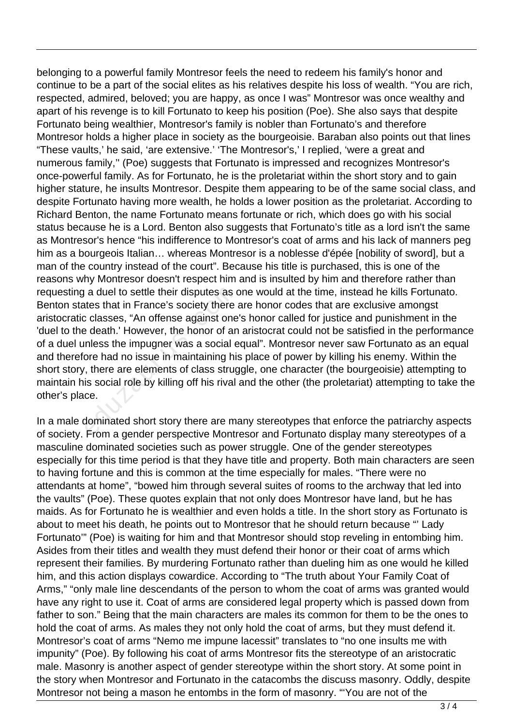belonging to a powerful family Montresor feels the need to redeem his family's honor and continue to be a part of the social elites as his relatives despite his loss of wealth. "You are rich, respected, admired, beloved; you are happy, as once I was" Montresor was once wealthy and apart of his revenge is to kill Fortunato to keep his position (Poe). She also says that despite Fortunato being wealthier, Montresor's family is nobler than Fortunato's and therefore Montresor holds a higher place in society as the bourgeoisie. Baraban also points out that lines "These vaults,' he said, 'are extensive.' 'The Montresor's,' I replied, 'were a great and numerous family,'' (Poe) suggests that Fortunato is impressed and recognizes Montresor's once-powerful family. As for Fortunato, he is the proletariat within the short story and to gain higher stature, he insults Montresor. Despite them appearing to be of the same social class, and despite Fortunato having more wealth, he holds a lower position as the proletariat. According to Richard Benton, the name Fortunato means fortunate or rich, which does go with his social status because he is a Lord. Benton also suggests that Fortunato's title as a lord isn't the same as Montresor's hence "his indifference to Montresor's coat of arms and his lack of manners peg him as a bourgeois Italian… whereas Montresor is a noblesse d'épée [nobility of sword], but a man of the country instead of the court". Because his title is purchased, this is one of the reasons why Montresor doesn't respect him and is insulted by him and therefore rather than requesting a duel to settle their disputes as one would at the time, instead he kills Fortunato. Benton states that in France's society there are honor codes that are exclusive amongst aristocratic classes, "An offense against one's honor called for justice and punishment in the 'duel to the death.' However, the honor of an aristocrat could not be satisfied in the performance of a duel unless the impugner was a social equal". Montresor never saw Fortunato as an equal and therefore had no issue in maintaining his place of power by killing his enemy. Within the short story, there are elements of class struggle, one character (the bourgeoisie) attempting to maintain his social role by killing off his rival and the other (the proletariat) attempting to take the other's place. a duel to settle their disputes as a<br>ttes that in France's society there<br>classes, "An offense against one<br>e death.' However, the honor of an<br>nless the impugner was a social e<br>ore had no issue in maintaining his<br>i, there ar

In a male dominated short story there are many stereotypes that enforce the patriarchy aspects of society. From a gender perspective Montresor and Fortunato display many stereotypes of a masculine dominated societies such as power struggle. One of the gender stereotypes especially for this time period is that they have title and property. Both main characters are seen to having fortune and this is common at the time especially for males. "There were no attendants at home", "bowed him through several suites of rooms to the archway that led into the vaults" (Poe). These quotes explain that not only does Montresor have land, but he has maids. As for Fortunato he is wealthier and even holds a title. In the short story as Fortunato is about to meet his death, he points out to Montresor that he should return because "' Lady Fortunato'" (Poe) is waiting for him and that Montresor should stop reveling in entombing him. Asides from their titles and wealth they must defend their honor or their coat of arms which represent their families. By murdering Fortunato rather than dueling him as one would he killed him, and this action displays cowardice. According to "The truth about Your Family Coat of Arms," "only male line descendants of the person to whom the coat of arms was granted would have any right to use it. Coat of arms are considered legal property which is passed down from father to son." Being that the main characters are males its common for them to be the ones to hold the coat of arms. As males they not only hold the coat of arms, but they must defend it. Montresor's coat of arms "Nemo me impune lacessit" translates to "no one insults me with impunity" (Poe). By following his coat of arms Montresor fits the stereotype of an aristocratic male. Masonry is another aspect of gender stereotype within the short story. At some point in the story when Montresor and Fortunato in the catacombs the discuss masonry. Oddly, despite Montresor not being a mason he entombs in the form of masonry. "'You are not of the